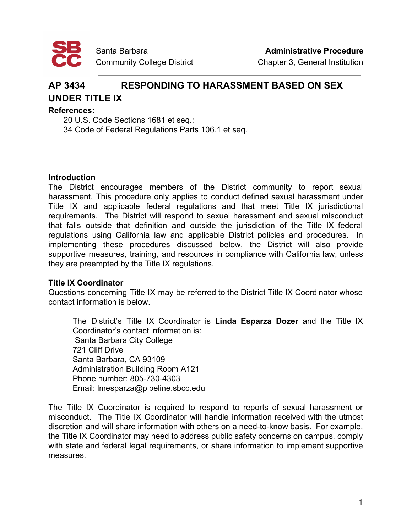

# **AP 3434 RESPONDING TO HARASSMENT BASED ON SEX**

# **UNDER TITLE IX**

## **References:**

20 U.S. Code Sections 1681 et seq.;

34 Code of Federal Regulations Parts 106.1 et seq.

## **Introduction**

The District encourages members of the District community to report sexual harassment. This procedure only applies to conduct defined sexual harassment under Title IX and applicable federal regulations and that meet Title IX jurisdictional requirements. The District will respond to sexual harassment and sexual misconduct that falls outside that definition and outside the jurisdiction of the Title IX federal regulations using California law and applicable District policies and procedures. In implementing these procedures discussed below, the District will also provide supportive measures, training, and resources in compliance with California law, unless they are preempted by the Title IX regulations.

## **Title IX Coordinator**

Questions concerning Title IX may be referred to the District Title IX Coordinator whose contact information is below.

The District's Title IX Coordinator is **Linda Esparza Dozer** and the Title IX Coordinator's contact information is: Santa Barbara City College 721 Cliff Drive Santa Barbara, CA 93109 Administration Building Room A121 Phone number: 805-730-4303 Email: lmesparza@pipeline.sbcc.edu

The Title IX Coordinator is required to respond to reports of sexual harassment or misconduct. The Title IX Coordinator will handle information received with the utmost discretion and will share information with others on a need-to-know basis. For example, the Title IX Coordinator may need to address public safety concerns on campus, comply with state and federal legal requirements, or share information to implement supportive measures.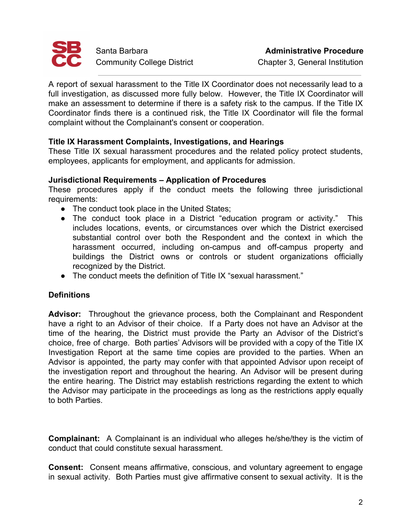

A report of sexual harassment to the Title IX Coordinator does not necessarily lead to a full investigation, as discussed more fully below. However, the Title IX Coordinator will make an assessment to determine if there is a safety risk to the campus. If the Title IX Coordinator finds there is a continued risk, the Title IX Coordinator will file the formal complaint without the Complainant's consent or cooperation.

## **Title IX Harassment Complaints, Investigations, and Hearings**

These Title IX sexual harassment procedures and the related policy protect students, employees, applicants for employment, and applicants for admission.

## **Jurisdictional Requirements – Application of Procedures**

These procedures apply if the conduct meets the following three jurisdictional requirements:

- The conduct took place in the United States;
- The conduct took place in a District "education program or activity." This includes locations, events, or circumstances over which the District exercised substantial control over both the Respondent and the context in which the harassment occurred, including on-campus and off-campus property and buildings the District owns or controls or student organizations officially recognized by the District.
- The conduct meets the definition of Title IX "sexual harassment."

## **Definitions**

**Advisor:** Throughout the grievance process, both the Complainant and Respondent have a right to an Advisor of their choice. If a Party does not have an Advisor at the time of the hearing, the District must provide the Party an Advisor of the District's choice, free of charge. Both parties' Advisors will be provided with a copy of the Title IX Investigation Report at the same time copies are provided to the parties. When an Advisor is appointed, the party may confer with that appointed Advisor upon receipt of the investigation report and throughout the hearing. An Advisor will be present during the entire hearing. The District may establish restrictions regarding the extent to which the Advisor may participate in the proceedings as long as the restrictions apply equally to both Parties.

**Complainant:** A Complainant is an individual who alleges he/she/they is the victim of conduct that could constitute sexual harassment.

**Consent:** Consent means affirmative, conscious, and voluntary agreement to engage in sexual activity. Both Parties must give affirmative consent to sexual activity. It is the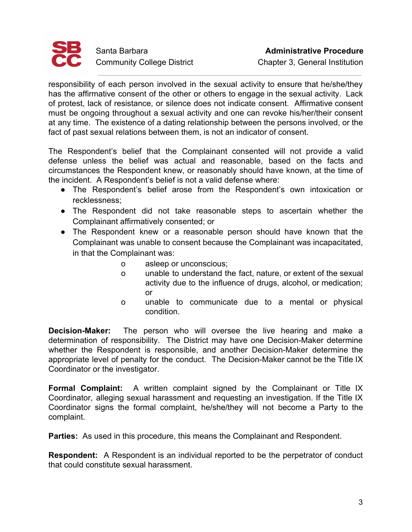

responsibility of each person involved in the sexual activity to ensure that he/she/they has the affirmative consent of the other or others to engage in the sexual activity. Lack of protest, lack of resistance, or silence does not indicate consent. Affirmative consent must be ongoing throughout a sexual activity and one can revoke his/her/their consent at any time. The existence of a dating relationship between the persons involved, or the fact of past sexual relations between them, is not an indicator of consent.

The Respondent's belief that the Complainant consented will not provide a valid defense unless the belief was actual and reasonable, based on the facts and circumstances the Respondent knew, or reasonably should have known, at the time of the incident. A Respondent's belief is not a valid defense where:

- The Respondent's belief arose from the Respondent's own intoxication or recklessness;
- The Respondent did not take reasonable steps to ascertain whether the Complainant affirmatively consented; or
- The Respondent knew or a reasonable person should have known that the Complainant was unable to consent because the Complainant was incapacitated, in that the Complainant was:
	- o asleep or unconscious;
	- o unable to understand the fact, nature, or extent of the sexual activity due to the influence of drugs, alcohol, or medication; or
	- o unable to communicate due to a mental or physical condition.

**Decision-Maker:** The person who will oversee the live hearing and make a determination of responsibility. The District may have one Decision-Maker determine whether the Respondent is responsible, and another Decision-Maker determine the appropriate level of penalty for the conduct. The Decision-Maker cannot be the Title IX Coordinator or the investigator.

**Formal Complaint:** A written complaint signed by the Complainant or Title IX Coordinator, alleging sexual harassment and requesting an investigation. If the Title IX Coordinator signs the formal complaint, he/she/they will not become a Party to the complaint.

**Parties:** As used in this procedure, this means the Complainant and Respondent.

**Respondent:** A Respondent is an individual reported to be the perpetrator of conduct that could constitute sexual harassment.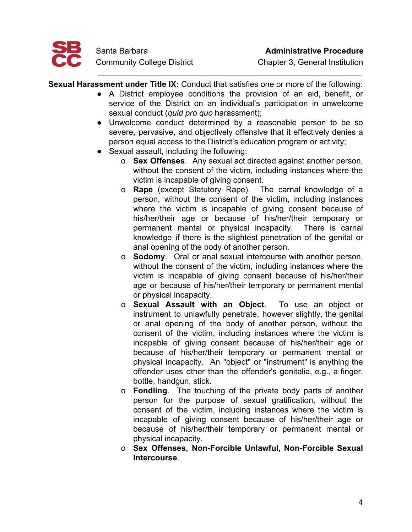

**Sexual Harassment under Title IX:** Conduct that satisfies one or more of the following:

- A District employee conditions the provision of an aid, benefit, or service of the District on an individual's participation in unwelcome sexual conduct (*quid pro quo* harassment);
- Unwelcome conduct determined by a reasonable person to be so severe, pervasive, and objectively offensive that it effectively denies a person equal access to the District's education program or activity;
- Sexual assault, including the following:
	- o **Sex Offenses**. Any sexual act directed against another person, without the consent of the victim, including instances where the victim is incapable of giving consent.
	- o **Rape** (except Statutory Rape). The carnal knowledge of a person, without the consent of the victim, including instances where the victim is incapable of giving consent because of his/her/their age or because of his/her/their temporary or permanent mental or physical incapacity. There is carnal knowledge if there is the slightest penetration of the genital or anal opening of the body of another person.
	- o **Sodomy**. Oral or anal sexual intercourse with another person, without the consent of the victim, including instances where the victim is incapable of giving consent because of his/her/their age or because of his/her/their temporary or permanent mental or physical incapacity.
	- o **Sexual Assault with an Object**. To use an object or instrument to unlawfully penetrate, however slightly, the genital or anal opening of the body of another person, without the consent of the victim, including instances where the victim is incapable of giving consent because of his/her/their age or because of his/her/their temporary or permanent mental or physical incapacity. An "object" or "instrument" is anything the offender uses other than the offender's genitalia, e.g., a finger, bottle, handgun, stick.
	- o **Fondling**. The touching of the private body parts of another person for the purpose of sexual gratification, without the consent of the victim, including instances where the victim is incapable of giving consent because of his/her/their age or because of his/her/their temporary or permanent mental or physical incapacity.
	- o **Sex Offenses, Non-Forcible Unlawful, Non-Forcible Sexual Intercourse**.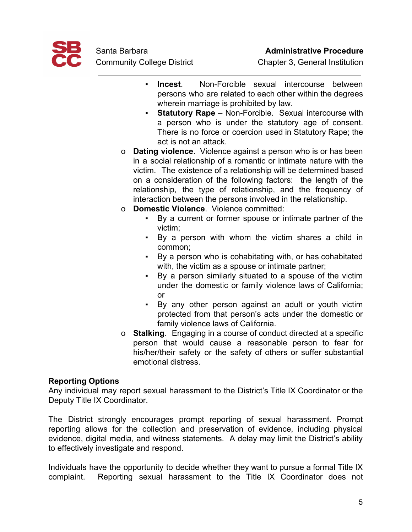

- **Incest**. Non-Forcible sexual intercourse between persons who are related to each other within the degrees wherein marriage is prohibited by law.
- **Statutory Rape** Non-Forcible. Sexual intercourse with a person who is under the statutory age of consent. There is no force or coercion used in Statutory Rape; the act is not an attack.
- o **Dating violence**. Violence against a person who is or has been in a social relationship of a romantic or intimate nature with the victim. The existence of a relationship will be determined based on a consideration of the following factors: the length of the relationship, the type of relationship, and the frequency of interaction between the persons involved in the relationship.
- o **Domestic Violence**. Violence committed:
	- By a current or former spouse or intimate partner of the victim;
	- By a person with whom the victim shares a child in common;
	- By a person who is cohabitating with, or has cohabitated with, the victim as a spouse or intimate partner;
	- By a person similarly situated to a spouse of the victim under the domestic or family violence laws of California; or
	- By any other person against an adult or youth victim protected from that person's acts under the domestic or family violence laws of California.
- o **Stalking**. Engaging in a course of conduct directed at a specific person that would cause a reasonable person to fear for his/her/their safety or the safety of others or suffer substantial emotional distress.

## **Reporting Options**

Any individual may report sexual harassment to the District's Title IX Coordinator or the Deputy Title IX Coordinator.

The District strongly encourages prompt reporting of sexual harassment. Prompt reporting allows for the collection and preservation of evidence, including physical evidence, digital media, and witness statements. A delay may limit the District's ability to effectively investigate and respond.

Individuals have the opportunity to decide whether they want to pursue a formal Title IX complaint. Reporting sexual harassment to the Title IX Coordinator does not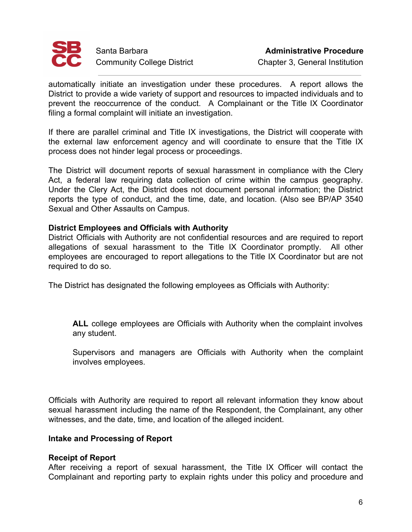

automatically initiate an investigation under these procedures. A report allows the District to provide a wide variety of support and resources to impacted individuals and to prevent the reoccurrence of the conduct. A Complainant or the Title IX Coordinator filing a formal complaint will initiate an investigation.

If there are parallel criminal and Title IX investigations, the District will cooperate with the external law enforcement agency and will coordinate to ensure that the Title IX process does not hinder legal process or proceedings.

The District will document reports of sexual harassment in compliance with the Clery Act, a federal law requiring data collection of crime within the campus geography. Under the Clery Act, the District does not document personal information; the District reports the type of conduct, and the time, date, and location. (Also see BP/AP 3540 Sexual and Other Assaults on Campus.

## **District Employees and Officials with Authority**

District Officials with Authority are not confidential resources and are required to report allegations of sexual harassment to the Title IX Coordinator promptly. All other employees are encouraged to report allegations to the Title IX Coordinator but are not required to do so.

The District has designated the following employees as Officials with Authority:

**ALL** college employees are Officials with Authority when the complaint involves any student.

Supervisors and managers are Officials with Authority when the complaint involves employees.

Officials with Authority are required to report all relevant information they know about sexual harassment including the name of the Respondent, the Complainant, any other witnesses, and the date, time, and location of the alleged incident.

## **Intake and Processing of Report**

## **Receipt of Report**

After receiving a report of sexual harassment, the Title IX Officer will contact the Complainant and reporting party to explain rights under this policy and procedure and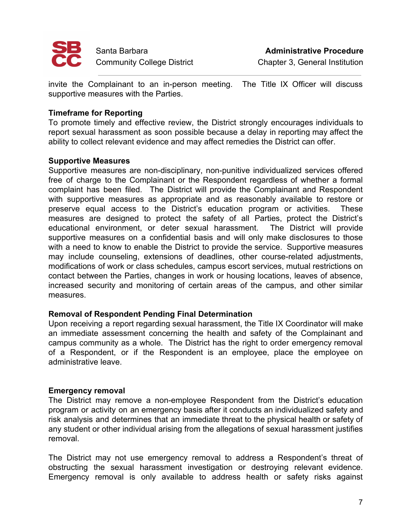

invite the Complainant to an in-person meeting. The Title IX Officer will discuss supportive measures with the Parties.

## **Timeframe for Reporting**

To promote timely and effective review, the District strongly encourages individuals to report sexual harassment as soon possible because a delay in reporting may affect the ability to collect relevant evidence and may affect remedies the District can offer.

## **Supportive Measures**

Supportive measures are non-disciplinary, non-punitive individualized services offered free of charge to the Complainant or the Respondent regardless of whether a formal complaint has been filed. The District will provide the Complainant and Respondent with supportive measures as appropriate and as reasonably available to restore or preserve equal access to the District's education program or activities. These measures are designed to protect the safety of all Parties, protect the District's educational environment, or deter sexual harassment. The District will provide supportive measures on a confidential basis and will only make disclosures to those with a need to know to enable the District to provide the service. Supportive measures may include counseling, extensions of deadlines, other course-related adjustments, modifications of work or class schedules, campus escort services, mutual restrictions on contact between the Parties, changes in work or housing locations, leaves of absence, increased security and monitoring of certain areas of the campus, and other similar measures.

## **Removal of Respondent Pending Final Determination**

Upon receiving a report regarding sexual harassment, the Title IX Coordinator will make an immediate assessment concerning the health and safety of the Complainant and campus community as a whole. The District has the right to order emergency removal of a Respondent, or if the Respondent is an employee, place the employee on administrative leave.

## **Emergency removal**

The District may remove a non-employee Respondent from the District's education program or activity on an emergency basis after it conducts an individualized safety and risk analysis and determines that an immediate threat to the physical health or safety of any student or other individual arising from the allegations of sexual harassment justifies removal.

The District may not use emergency removal to address a Respondent's threat of obstructing the sexual harassment investigation or destroying relevant evidence. Emergency removal is only available to address health or safety risks against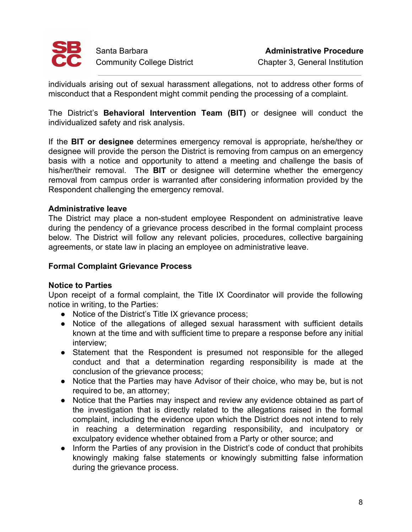

individuals arising out of sexual harassment allegations, not to address other forms of misconduct that a Respondent might commit pending the processing of a complaint.

The District's **Behavioral Intervention Team (BIT)** or designee will conduct the individualized safety and risk analysis.

If the **BIT or designee** determines emergency removal is appropriate, he/she/they or designee will provide the person the District is removing from campus on an emergency basis with a notice and opportunity to attend a meeting and challenge the basis of his/her/their removal. The **BIT** or designee will determine whether the emergency removal from campus order is warranted after considering information provided by the Respondent challenging the emergency removal.

## **Administrative leave**

The District may place a non-student employee Respondent on administrative leave during the pendency of a grievance process described in the formal complaint process below. The District will follow any relevant policies, procedures, collective bargaining agreements, or state law in placing an employee on administrative leave.

## **Formal Complaint Grievance Process**

## **Notice to Parties**

Upon receipt of a formal complaint, the Title IX Coordinator will provide the following notice in writing, to the Parties:

- Notice of the District's Title IX grievance process;
- Notice of the allegations of alleged sexual harassment with sufficient details known at the time and with sufficient time to prepare a response before any initial interview;
- Statement that the Respondent is presumed not responsible for the alleged conduct and that a determination regarding responsibility is made at the conclusion of the grievance process;
- Notice that the Parties may have Advisor of their choice, who may be, but is not required to be, an attorney;
- Notice that the Parties may inspect and review any evidence obtained as part of the investigation that is directly related to the allegations raised in the formal complaint, including the evidence upon which the District does not intend to rely in reaching a determination regarding responsibility, and inculpatory or exculpatory evidence whether obtained from a Party or other source; and
- Inform the Parties of any provision in the District's code of conduct that prohibits knowingly making false statements or knowingly submitting false information during the grievance process.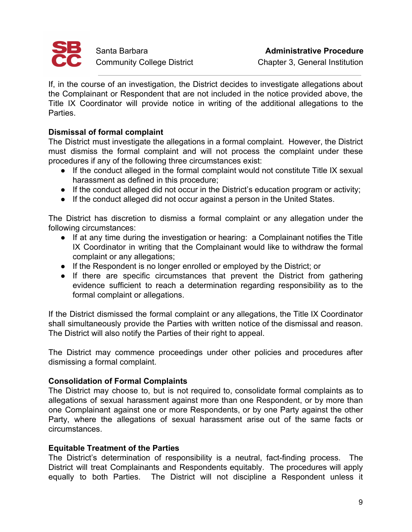

If, in the course of an investigation, the District decides to investigate allegations about the Complainant or Respondent that are not included in the notice provided above, the Title IX Coordinator will provide notice in writing of the additional allegations to the Parties.

## **Dismissal of formal complaint**

The District must investigate the allegations in a formal complaint. However, the District must dismiss the formal complaint and will not process the complaint under these procedures if any of the following three circumstances exist:

- If the conduct alleged in the formal complaint would not constitute Title IX sexual harassment as defined in this procedure;
- If the conduct alleged did not occur in the District's education program or activity;
- If the conduct alleged did not occur against a person in the United States.

The District has discretion to dismiss a formal complaint or any allegation under the following circumstances:

- If at any time during the investigation or hearing: a Complainant notifies the Title IX Coordinator in writing that the Complainant would like to withdraw the formal complaint or any allegations;
- If the Respondent is no longer enrolled or employed by the District; or
- If there are specific circumstances that prevent the District from gathering evidence sufficient to reach a determination regarding responsibility as to the formal complaint or allegations.

If the District dismissed the formal complaint or any allegations, the Title IX Coordinator shall simultaneously provide the Parties with written notice of the dismissal and reason. The District will also notify the Parties of their right to appeal.

The District may commence proceedings under other policies and procedures after dismissing a formal complaint.

## **Consolidation of Formal Complaints**

The District may choose to, but is not required to, consolidate formal complaints as to allegations of sexual harassment against more than one Respondent, or by more than one Complainant against one or more Respondents, or by one Party against the other Party, where the allegations of sexual harassment arise out of the same facts or circumstances.

## **Equitable Treatment of the Parties**

The District's determination of responsibility is a neutral, fact-finding process. The District will treat Complainants and Respondents equitably. The procedures will apply equally to both Parties. The District will not discipline a Respondent unless it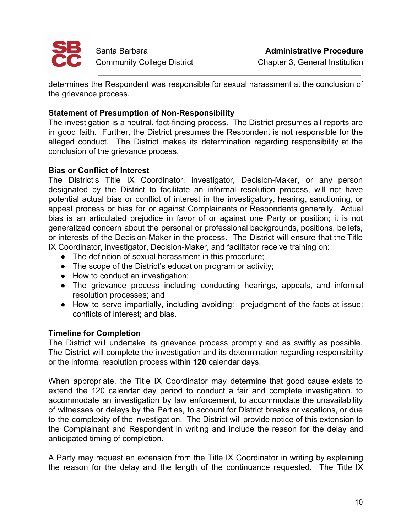

determines the Respondent was responsible for sexual harassment at the conclusion of the grievance process.

## **Statement of Presumption of Non-Responsibility**

The investigation is a neutral, fact-finding process. The District presumes all reports are in good faith. Further, the District presumes the Respondent is not responsible for the alleged conduct. The District makes its determination regarding responsibility at the conclusion of the grievance process.

## **Bias or Conflict of Interest**

The District's Title IX Coordinator, investigator, Decision-Maker, or any person designated by the District to facilitate an informal resolution process, will not have potential actual bias or conflict of interest in the investigatory, hearing, sanctioning, or appeal process or bias for or against Complainants or Respondents generally. Actual bias is an articulated prejudice in favor of or against one Party or position; it is not generalized concern about the personal or professional backgrounds, positions, beliefs, or interests of the Decision-Maker in the process. The District will ensure that the Title IX Coordinator, investigator, Decision-Maker, and facilitator receive training on:

- The definition of sexual harassment in this procedure;
- The scope of the District's education program or activity;
- How to conduct an investigation;
- The grievance process including conducting hearings, appeals, and informal resolution processes; and
- How to serve impartially, including avoiding: prejudgment of the facts at issue; conflicts of interest; and bias.

## **Timeline for Completion**

The District will undertake its grievance process promptly and as swiftly as possible. The District will complete the investigation and its determination regarding responsibility or the informal resolution process within **120** calendar days.

When appropriate, the Title IX Coordinator may determine that good cause exists to extend the 120 calendar day period to conduct a fair and complete investigation, to accommodate an investigation by law enforcement, to accommodate the unavailability of witnesses or delays by the Parties, to account for District breaks or vacations, or due to the complexity of the investigation. The District will provide notice of this extension to the Complainant and Respondent in writing and include the reason for the delay and anticipated timing of completion.

A Party may request an extension from the Title IX Coordinator in writing by explaining the reason for the delay and the length of the continuance requested. The Title IX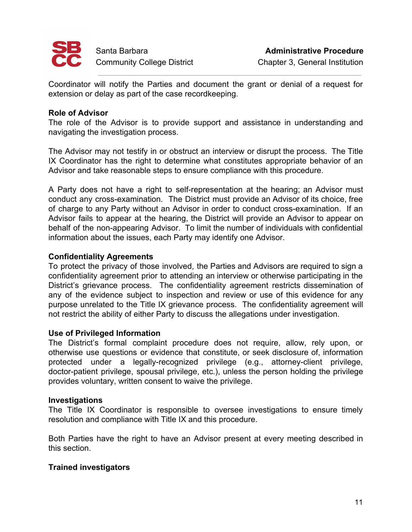

Coordinator will notify the Parties and document the grant or denial of a request for extension or delay as part of the case recordkeeping.

### **Role of Advisor**

The role of the Advisor is to provide support and assistance in understanding and navigating the investigation process.

The Advisor may not testify in or obstruct an interview or disrupt the process. The Title IX Coordinator has the right to determine what constitutes appropriate behavior of an Advisor and take reasonable steps to ensure compliance with this procedure.

A Party does not have a right to self-representation at the hearing; an Advisor must conduct any cross-examination. The District must provide an Advisor of its choice, free of charge to any Party without an Advisor in order to conduct cross-examination. If an Advisor fails to appear at the hearing, the District will provide an Advisor to appear on behalf of the non-appearing Advisor. To limit the number of individuals with confidential information about the issues, each Party may identify one Advisor.

### **Confidentiality Agreements**

To protect the privacy of those involved, the Parties and Advisors are required to sign a confidentiality agreement prior to attending an interview or otherwise participating in the District's grievance process. The confidentiality agreement restricts dissemination of any of the evidence subject to inspection and review or use of this evidence for any purpose unrelated to the Title IX grievance process. The confidentiality agreement will not restrict the ability of either Party to discuss the allegations under investigation.

#### **Use of Privileged Information**

The District's formal complaint procedure does not require, allow, rely upon, or otherwise use questions or evidence that constitute, or seek disclosure of, information protected under a legally-recognized privilege (e.g., attorney-client privilege, doctor-patient privilege, spousal privilege, etc.), unless the person holding the privilege provides voluntary, written consent to waive the privilege.

#### **Investigations**

The Title IX Coordinator is responsible to oversee investigations to ensure timely resolution and compliance with Title IX and this procedure.

Both Parties have the right to have an Advisor present at every meeting described in this section.

#### **Trained investigators**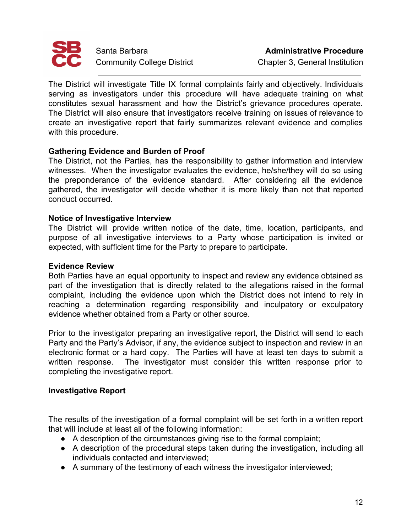

The District will investigate Title IX formal complaints fairly and objectively. Individuals serving as investigators under this procedure will have adequate training on what constitutes sexual harassment and how the District's grievance procedures operate. The District will also ensure that investigators receive training on issues of relevance to create an investigative report that fairly summarizes relevant evidence and complies with this procedure.

## **Gathering Evidence and Burden of Proof**

The District, not the Parties, has the responsibility to gather information and interview witnesses. When the investigator evaluates the evidence, he/she/they will do so using the preponderance of the evidence standard. After considering all the evidence gathered, the investigator will decide whether it is more likely than not that reported conduct occurred.

## **Notice of Investigative Interview**

The District will provide written notice of the date, time, location, participants, and purpose of all investigative interviews to a Party whose participation is invited or expected, with sufficient time for the Party to prepare to participate.

#### **Evidence Review**

Both Parties have an equal opportunity to inspect and review any evidence obtained as part of the investigation that is directly related to the allegations raised in the formal complaint, including the evidence upon which the District does not intend to rely in reaching a determination regarding responsibility and inculpatory or exculpatory evidence whether obtained from a Party or other source.

Prior to the investigator preparing an investigative report, the District will send to each Party and the Party's Advisor, if any, the evidence subject to inspection and review in an electronic format or a hard copy. The Parties will have at least ten days to submit a written response. The investigator must consider this written response prior to completing the investigative report.

## **Investigative Report**

The results of the investigation of a formal complaint will be set forth in a written report that will include at least all of the following information:

- A description of the circumstances giving rise to the formal complaint;
- A description of the procedural steps taken during the investigation, including all individuals contacted and interviewed;
- A summary of the testimony of each witness the investigator interviewed;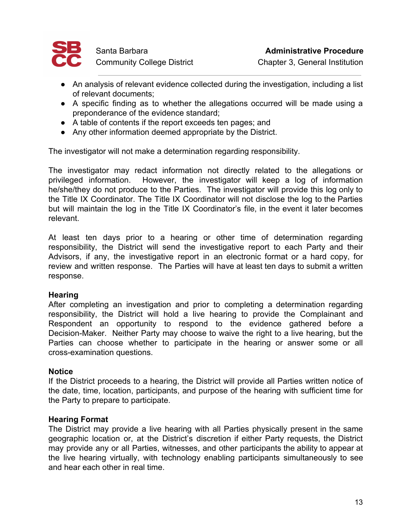

- An analysis of relevant evidence collected during the investigation, including a list of relevant documents;
- A specific finding as to whether the allegations occurred will be made using a preponderance of the evidence standard;
- A table of contents if the report exceeds ten pages; and
- Any other information deemed appropriate by the District.

The investigator will not make a determination regarding responsibility.

The investigator may redact information not directly related to the allegations or privileged information. However, the investigator will keep a log of information he/she/they do not produce to the Parties. The investigator will provide this log only to the Title IX Coordinator. The Title IX Coordinator will not disclose the log to the Parties but will maintain the log in the Title IX Coordinator's file, in the event it later becomes relevant.

At least ten days prior to a hearing or other time of determination regarding responsibility, the District will send the investigative report to each Party and their Advisors, if any, the investigative report in an electronic format or a hard copy, for review and written response. The Parties will have at least ten days to submit a written response.

## **Hearing**

After completing an investigation and prior to completing a determination regarding responsibility, the District will hold a live hearing to provide the Complainant and Respondent an opportunity to respond to the evidence gathered before a Decision-Maker. Neither Party may choose to waive the right to a live hearing, but the Parties can choose whether to participate in the hearing or answer some or all cross-examination questions.

## **Notice**

If the District proceeds to a hearing, the District will provide all Parties written notice of the date, time, location, participants, and purpose of the hearing with sufficient time for the Party to prepare to participate.

## **Hearing Format**

The District may provide a live hearing with all Parties physically present in the same geographic location or, at the District's discretion if either Party requests, the District may provide any or all Parties, witnesses, and other participants the ability to appear at the live hearing virtually, with technology enabling participants simultaneously to see and hear each other in real time.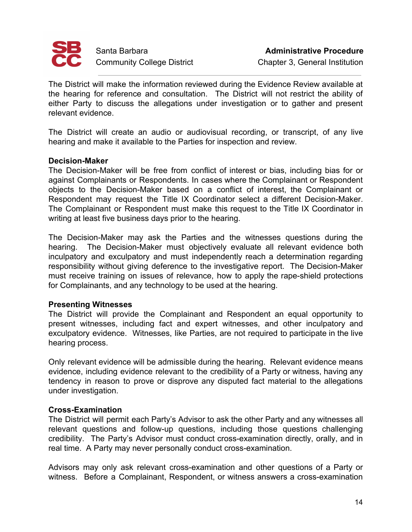

The District will make the information reviewed during the Evidence Review available at the hearing for reference and consultation. The District will not restrict the ability of either Party to discuss the allegations under investigation or to gather and present relevant evidence.

The District will create an audio or audiovisual recording, or transcript, of any live hearing and make it available to the Parties for inspection and review.

### **Decision-Maker**

The Decision-Maker will be free from conflict of interest or bias, including bias for or against Complainants or Respondents. In cases where the Complainant or Respondent objects to the Decision-Maker based on a conflict of interest, the Complainant or Respondent may request the Title IX Coordinator select a different Decision-Maker. The Complainant or Respondent must make this request to the Title IX Coordinator in writing at least five business days prior to the hearing.

The Decision-Maker may ask the Parties and the witnesses questions during the hearing. The Decision-Maker must objectively evaluate all relevant evidence both inculpatory and exculpatory and must independently reach a determination regarding responsibility without giving deference to the investigative report. The Decision-Maker must receive training on issues of relevance, how to apply the rape-shield protections for Complainants, and any technology to be used at the hearing.

## **Presenting Witnesses**

The District will provide the Complainant and Respondent an equal opportunity to present witnesses, including fact and expert witnesses, and other inculpatory and exculpatory evidence. Witnesses, like Parties, are not required to participate in the live hearing process.

Only relevant evidence will be admissible during the hearing. Relevant evidence means evidence, including evidence relevant to the credibility of a Party or witness, having any tendency in reason to prove or disprove any disputed fact material to the allegations under investigation.

## **Cross-Examination**

The District will permit each Party's Advisor to ask the other Party and any witnesses all relevant questions and follow-up questions, including those questions challenging credibility. The Party's Advisor must conduct cross-examination directly, orally, and in real time. A Party may never personally conduct cross-examination.

Advisors may only ask relevant cross-examination and other questions of a Party or witness. Before a Complainant, Respondent, or witness answers a cross-examination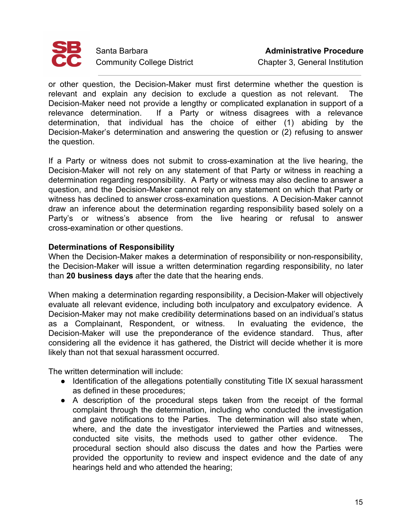

or other question, the Decision-Maker must first determine whether the question is relevant and explain any decision to exclude a question as not relevant. The Decision-Maker need not provide a lengthy or complicated explanation in support of a relevance determination. If a Party or witness disagrees with a relevance determination, that individual has the choice of either (1) abiding by the Decision-Maker's determination and answering the question or (2) refusing to answer the question.

If a Party or witness does not submit to cross-examination at the live hearing, the Decision-Maker will not rely on any statement of that Party or witness in reaching a determination regarding responsibility. A Party or witness may also decline to answer a question, and the Decision-Maker cannot rely on any statement on which that Party or witness has declined to answer cross-examination questions. A Decision-Maker cannot draw an inference about the determination regarding responsibility based solely on a Party's or witness's absence from the live hearing or refusal to answer cross-examination or other questions.

## **Determinations of Responsibility**

When the Decision-Maker makes a determination of responsibility or non-responsibility, the Decision-Maker will issue a written determination regarding responsibility, no later than **20 business days** after the date that the hearing ends.

When making a determination regarding responsibility, a Decision-Maker will objectively evaluate all relevant evidence, including both inculpatory and exculpatory evidence. A Decision-Maker may not make credibility determinations based on an individual's status as a Complainant, Respondent, or witness. In evaluating the evidence, the Decision-Maker will use the preponderance of the evidence standard. Thus, after considering all the evidence it has gathered, the District will decide whether it is more likely than not that sexual harassment occurred.

The written determination will include:

- Identification of the allegations potentially constituting Title IX sexual harassment as defined in these procedures;
- A description of the procedural steps taken from the receipt of the formal complaint through the determination, including who conducted the investigation and gave notifications to the Parties. The determination will also state when, where, and the date the investigator interviewed the Parties and witnesses, conducted site visits, the methods used to gather other evidence. The procedural section should also discuss the dates and how the Parties were provided the opportunity to review and inspect evidence and the date of any hearings held and who attended the hearing;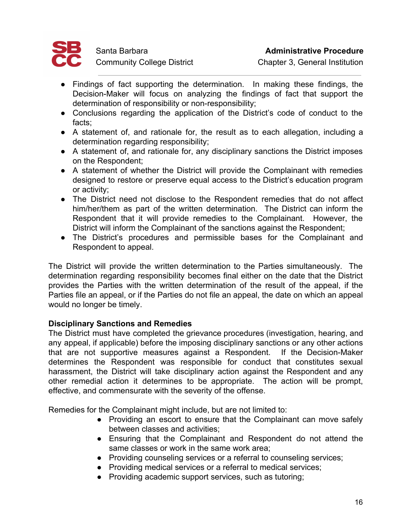

- Findings of fact supporting the determination. In making these findings, the Decision-Maker will focus on analyzing the findings of fact that support the determination of responsibility or non-responsibility;
- Conclusions regarding the application of the District's code of conduct to the facts;
- A statement of, and rationale for, the result as to each allegation, including a determination regarding responsibility;
- A statement of, and rationale for, any disciplinary sanctions the District imposes on the Respondent;
- A statement of whether the District will provide the Complainant with remedies designed to restore or preserve equal access to the District's education program or activity;
- The District need not disclose to the Respondent remedies that do not affect him/her/them as part of the written determination. The District can inform the Respondent that it will provide remedies to the Complainant. However, the District will inform the Complainant of the sanctions against the Respondent;
- The District's procedures and permissible bases for the Complainant and Respondent to appeal.

The District will provide the written determination to the Parties simultaneously. The determination regarding responsibility becomes final either on the date that the District provides the Parties with the written determination of the result of the appeal, if the Parties file an appeal, or if the Parties do not file an appeal, the date on which an appeal would no longer be timely.

## **Disciplinary Sanctions and Remedies**

The District must have completed the grievance procedures (investigation, hearing, and any appeal, if applicable) before the imposing disciplinary sanctions or any other actions that are not supportive measures against a Respondent. If the Decision-Maker determines the Respondent was responsible for conduct that constitutes sexual harassment, the District will take disciplinary action against the Respondent and any other remedial action it determines to be appropriate. The action will be prompt, effective, and commensurate with the severity of the offense.

Remedies for the Complainant might include, but are not limited to:

- Providing an escort to ensure that the Complainant can move safely between classes and activities;
- Ensuring that the Complainant and Respondent do not attend the same classes or work in the same work area;
- Providing counseling services or a referral to counseling services;
- Providing medical services or a referral to medical services;
- Providing academic support services, such as tutoring;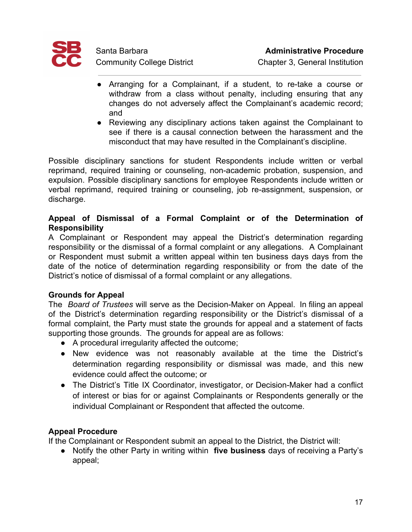

- Arranging for a Complainant, if a student, to re-take a course or withdraw from a class without penalty, including ensuring that any changes do not adversely affect the Complainant's academic record; and
- Reviewing any disciplinary actions taken against the Complainant to see if there is a causal connection between the harassment and the misconduct that may have resulted in the Complainant's discipline.

Possible disciplinary sanctions for student Respondents include written or verbal reprimand, required training or counseling, non-academic probation, suspension, and expulsion. Possible disciplinary sanctions for employee Respondents include written or verbal reprimand, required training or counseling, job re-assignment, suspension, or discharge.

## **Appeal of Dismissal of a Formal Complaint or of the Determination of Responsibility**

A Complainant or Respondent may appeal the District's determination regarding responsibility or the dismissal of a formal complaint or any allegations. A Complainant or Respondent must submit a written appeal within ten business days days from the date of the notice of determination regarding responsibility or from the date of the District's notice of dismissal of a formal complaint or any allegations.

## **Grounds for Appeal**

The *Board of Trustees* will serve as the Decision-Maker on Appeal. In filing an appeal of the District's determination regarding responsibility or the District's dismissal of a formal complaint, the Party must state the grounds for appeal and a statement of facts supporting those grounds. The grounds for appeal are as follows:

- A procedural irregularity affected the outcome;
- New evidence was not reasonably available at the time the District's determination regarding responsibility or dismissal was made, and this new evidence could affect the outcome; or
- The District's Title IX Coordinator, investigator, or Decision-Maker had a conflict of interest or bias for or against Complainants or Respondents generally or the individual Complainant or Respondent that affected the outcome.

## **Appeal Procedure**

If the Complainant or Respondent submit an appeal to the District, the District will:

● Notify the other Party in writing within **five business** days of receiving a Party's appeal;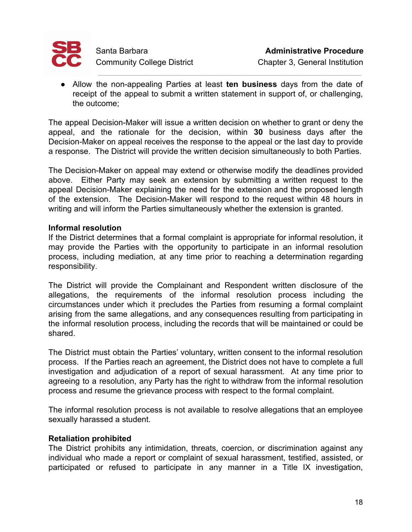

● Allow the non-appealing Parties at least **ten business** days from the date of receipt of the appeal to submit a written statement in support of, or challenging, the outcome;

The appeal Decision-Maker will issue a written decision on whether to grant or deny the appeal, and the rationale for the decision, within **30** business days after the Decision-Maker on appeal receives the response to the appeal or the last day to provide a response. The District will provide the written decision simultaneously to both Parties.

The Decision-Maker on appeal may extend or otherwise modify the deadlines provided above. Either Party may seek an extension by submitting a written request to the appeal Decision-Maker explaining the need for the extension and the proposed length of the extension. The Decision-Maker will respond to the request within 48 hours in writing and will inform the Parties simultaneously whether the extension is granted.

## **Informal resolution**

If the District determines that a formal complaint is appropriate for informal resolution, it may provide the Parties with the opportunity to participate in an informal resolution process, including mediation, at any time prior to reaching a determination regarding responsibility.

The District will provide the Complainant and Respondent written disclosure of the allegations, the requirements of the informal resolution process including the circumstances under which it precludes the Parties from resuming a formal complaint arising from the same allegations, and any consequences resulting from participating in the informal resolution process, including the records that will be maintained or could be shared.

The District must obtain the Parties' voluntary, written consent to the informal resolution process. If the Parties reach an agreement, the District does not have to complete a full investigation and adjudication of a report of sexual harassment. At any time prior to agreeing to a resolution, any Party has the right to withdraw from the informal resolution process and resume the grievance process with respect to the formal complaint.

The informal resolution process is not available to resolve allegations that an employee sexually harassed a student.

## **Retaliation prohibited**

The District prohibits any intimidation, threats, coercion, or discrimination against any individual who made a report or complaint of sexual harassment, testified, assisted, or participated or refused to participate in any manner in a Title IX investigation,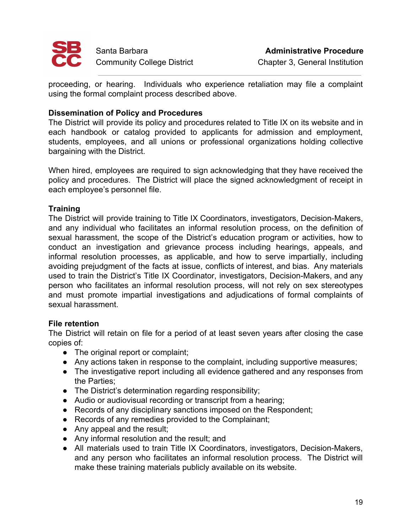

proceeding, or hearing. Individuals who experience retaliation may file a complaint using the formal complaint process described above.

## **Dissemination of Policy and Procedures**

The District will provide its policy and procedures related to Title IX on its website and in each handbook or catalog provided to applicants for admission and employment, students, employees, and all unions or professional organizations holding collective bargaining with the District.

When hired, employees are required to sign acknowledging that they have received the policy and procedures. The District will place the signed acknowledgment of receipt in each employee's personnel file.

## **Training**

The District will provide training to Title IX Coordinators, investigators, Decision-Makers, and any individual who facilitates an informal resolution process, on the definition of sexual harassment, the scope of the District's education program or activities, how to conduct an investigation and grievance process including hearings, appeals, and informal resolution processes, as applicable, and how to serve impartially, including avoiding prejudgment of the facts at issue, conflicts of interest, and bias. Any materials used to train the District's Title IX Coordinator, investigators, Decision-Makers, and any person who facilitates an informal resolution process, will not rely on sex stereotypes and must promote impartial investigations and adjudications of formal complaints of sexual harassment.

## **File retention**

The District will retain on file for a period of at least seven years after closing the case copies of:

- The original report or complaint;
- Any actions taken in response to the complaint, including supportive measures;
- The investigative report including all evidence gathered and any responses from the Parties;
- The District's determination regarding responsibility;
- Audio or audiovisual recording or transcript from a hearing;
- Records of any disciplinary sanctions imposed on the Respondent;
- Records of any remedies provided to the Complainant;
- Any appeal and the result;
- Any informal resolution and the result; and
- All materials used to train Title IX Coordinators, investigators, Decision-Makers, and any person who facilitates an informal resolution process. The District will make these training materials publicly available on its website.